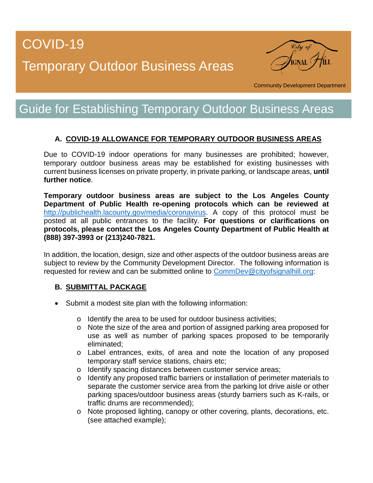## COVID-19

# Temporary Outdoor Business Areas



Community Development Department

### Guide for Establishing Temporary Outdoor Business Areas

### **A. COVID-19 ALLOWANCE FOR TEMPORARY OUTDOOR BUSINESS AREAS**

Due to COVID-19 indoor operations for many businesses are prohibited; however, temporary outdoor business areas may be established for existing businesses with current business licenses on private property, in private parking, or landscape areas, **until further notice**.

**Temporary outdoor business areas are subject to the Los Angeles County Department of Public Health re-opening protocols which can be reviewed at** [http://publichealth.lacounty.gov/media/coronavirus.](http://publichealth.lacounty.gov/media/coronavirus) A copy of this protocol must be posted at all public entrances to the facility. **For questions or clarifications on protocols, please contact the Los Angeles County Department of Public Health at (888) 397-3993 or (213)240-7821.**

In addition, the location, design, size and other aspects of the outdoor business areas are subject to review by the Community Development Director. The following information is requested for review and can be submitted online to [CommDev@cityofsignalhill.org:](mailto:CommDev@cityofsignalhill.org)

#### **B. SUBMITTAL PACKAGE**

- Submit a modest site plan with the following information:
	- o Identify the area to be used for outdoor business activities;
	- o Note the size of the area and portion of assigned parking area proposed for use as well as number of parking spaces proposed to be temporarily eliminated;
	- o Label entrances, exits, of area and note the location of any proposed temporary staff service stations, chairs etc;
	- o Identify spacing distances between customer service areas;
	- o Identify any proposed traffic barriers or installation of perimeter materials to separate the customer service area from the parking lot drive aisle or other parking spaces/outdoor business areas (sturdy barriers such as K-rails, or traffic drums are recommended);
	- o Note proposed lighting, canopy or other covering, plants, decorations, etc. (see attached example);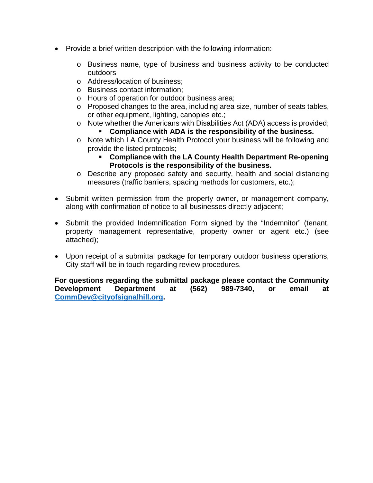- Provide a brief written description with the following information:
	- o Business name, type of business and business activity to be conducted outdoors
	- o Address/location of business;
	- o Business contact information;
	- o Hours of operation for outdoor business area;
	- o Proposed changes to the area, including area size, number of seats tables, or other equipment, lighting, canopies etc.;
	- o Note whether the Americans with Disabilities Act (ADA) access is provided;
		- **Compliance with ADA is the responsibility of the business.**
	- o Note which LA County Health Protocol your business will be following and provide the listed protocols;
		- **Compliance with the LA County Health Department Re-opening Protocols is the responsibility of the business.**
	- o Describe any proposed safety and security, health and social distancing measures (traffic barriers, spacing methods for customers, etc.);
- Submit written permission from the property owner, or management company, along with confirmation of notice to all businesses directly adjacent;
- Submit the provided Indemnification Form signed by the "Indemnitor" (tenant, property management representative, property owner or agent etc.) (see attached);
- Upon receipt of a submittal package for temporary outdoor business operations, City staff will be in touch regarding review procedures.

**For questions regarding the submittal package please contact the Community Development Department at (562) 989-7340, or email at [CommDev@cityofsignalhill.org.](mailto:CommDev@cityofsignalhill.org)**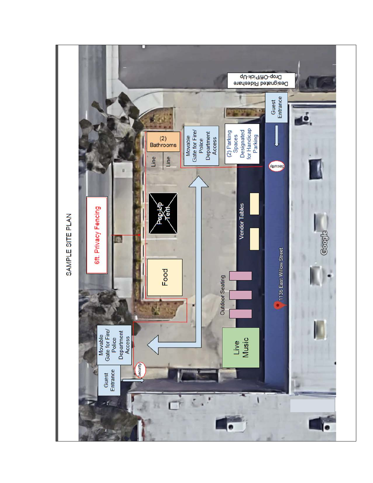